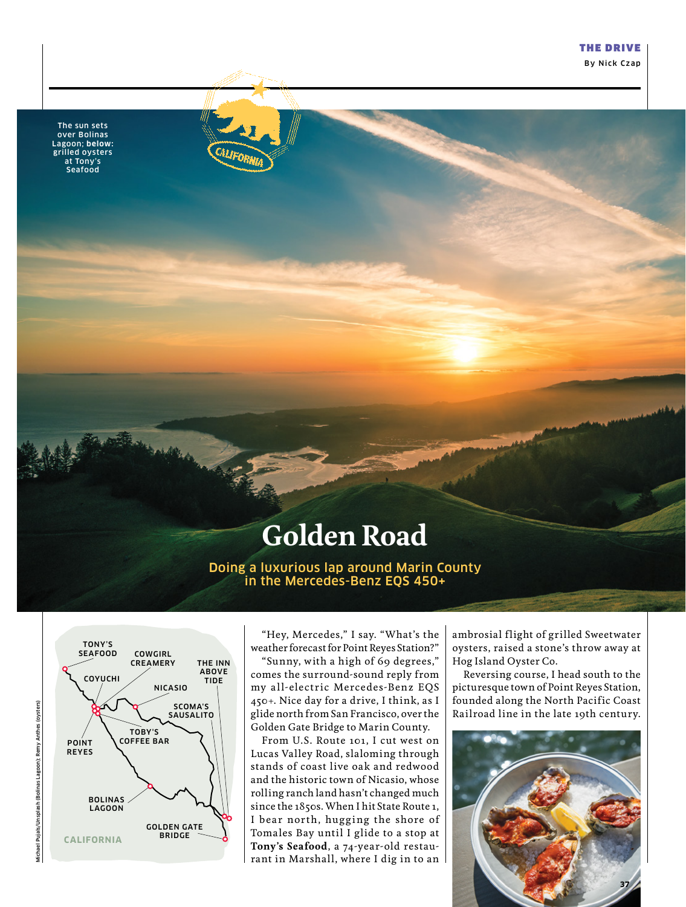By Nick Czap

The sun sets over Bolinas Lagoon; **below:** grilled oysters at Tony's Seafood



## **Golden Road**

Doing a luxurious lap around Marin County in the Mercedes-Benz EQS 450+



"Hey, Mercedes," I say. "What's the weather forecast for Point Reyes Station?"

"Sunny, with a high of 69 degrees," comes the surround-sound reply from my all-electric Mercedes-Benz EQS 450+. Nice day for a drive, I think, as I glide north from San Francisco, over the Golden Gate Bridge to Marin County.

From U.S. Route 101, I cut west on Lucas Valley Road, slaloming through stands of coast live oak and redwood and the historic town of Nicasio, whose rolling ranch land hasn't changed much since the 1850s. When I hit State Route 1, I bear north, hugging the shore of Tomales Bay until I glide to a stop at **Tony's Seafood**, a 74-year-old restaurant in Marshall, where I dig in to an

ambrosial flight of grilled Sweetwater oysters, raised a stone's throw away at Hog Island Oyster Co.

Reversing course, I head south to the picturesque town of Point Reyes Station, founded along the North Pacific Coast Railroad line in the late 19th century.